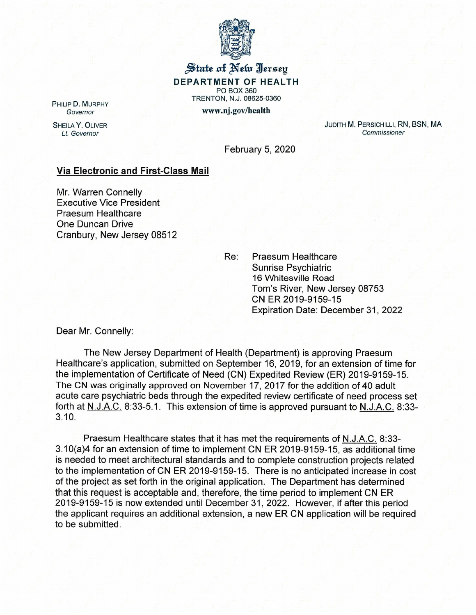

## $\frac{1}{2}$ tate of Net Ilersey **DEPARTMENT OF HEALTH** PO BOX 360 TRENTON, N.J. 08625-0360 www.nj.gov/health

PHILIP D. MURPHY *Governor*

SHEILA Y. OLIVER *Lt. Governor*

JUDITH M. PERSICHILLI, RN, BSN, MA *Commissioner*

February 5, 2020

## **Via Electronic and First-Class Mail**

Mr. Warren Connelly Executive Vice President Praesum Healthcare One Duncan Drive Cranbury, New Jersey 08512

> Re: Praesum Healthcare Sunrise Psychiatric 16 Whitesville Road Tom's River, New Jersey 08753 CN ER 2019-9159-15 Expiration Date: December 31,2022

Dear Mr. Connelly:

The New Jersey Department of Health (Department) is approving Praesum Healthcare's application, submitted on September 16, 2019, for an extension of time for the implementation of Certificate of Need (CN) Expedited Review (ER) 2019-9159-15. The CN was originally approved on November 17, 2017 for the addition of 40 adult acute care psychiatric beds through the expedited review certificate of need process set forth at N.J.A.C. 8:33-5.1. This extension of time is approved pursuant to N.J.A.C. 8:33- 3.10.

Praesum Healthcare states that it has met the requirements of N.J.A.C. 8:33- 3.10(a)4 for an extension of time to implement CN ER 2019-9159-15, as additional time is needed to meet architectural standards and to complete construction projects related to the implementation of CN ER 2019-9159-15. There is no anticipated increase in cost of the project as set forth in the original application. The Department has determined that this request is acceptable and, therefore, the time period to implement CN ER 2019-9159-15 is now extended until December 31, 2022. However, if after this period the applicant requires an additional extension, a new ER CN application will be required to be submitted.